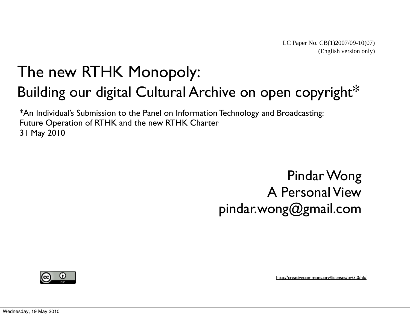#### The new RTHK Monopoly: Building our digital Cultural Archive on open copyright\*

\*An Individual's Submission to the Panel on Information Technology and Broadcasting: Future Operation of RTHK and the new RTHK Charter 31 May 2010

> Pindar Wong A Personal View pindar.wong@gmail.com



<http://creativecommons.org/licenses/by/3.0/hk/>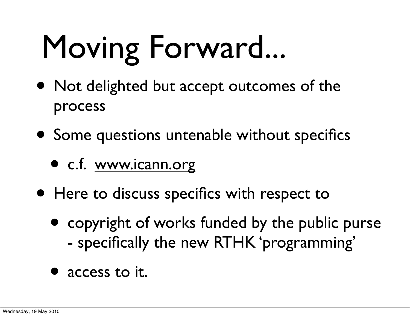# Moving Forward...

- Not delighted but accept outcomes of the process
- Some questions untenable without specifics
	- c.f. [www.icann.org](http://www.icann.org)
- Here to discuss specifics with respect to
	- copyright of works funded by the public purse - specifically the new RTHK 'programming'
	- access to it.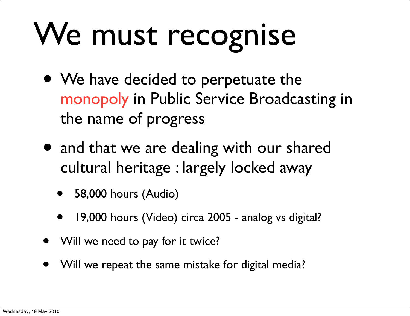# We must recognise

- We have decided to perpetuate the monopoly in Public Service Broadcasting in the name of progress
- and that we are dealing with our shared cultural heritage : largely locked away
	- 58,000 hours (Audio)
	- 19,000 hours (Video) circa 2005 analog vs digital?
- Will we need to pay for it twice?
- Will we repeat the same mistake for digital media?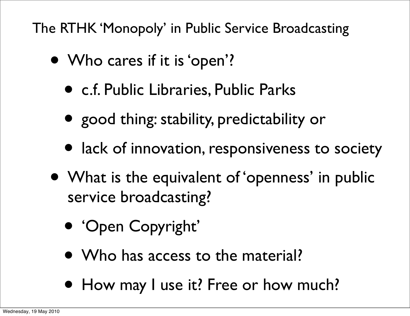The RTHK 'Monopoly' in Public Service Broadcasting

- Who cares if it is 'open'?
	- c.f. Public Libraries, Public Parks
	- good thing: stability, predictability or
	- lack of innovation, responsiveness to society
- What is the equivalent of 'openness' in public service broadcasting?
	- 'Open Copyright'
	- Who has access to the material?
	- How may I use it? Free or how much?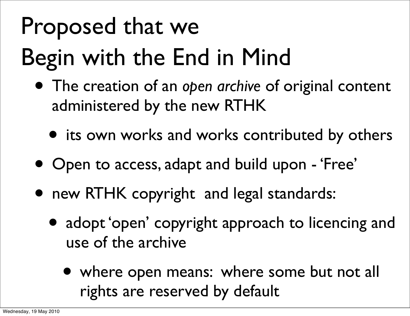#### Proposed that we Begin with the End in Mind

- The creation of an *open archive* of original content administered by the new RTHK
	- its own works and works contributed by others
- Open to access, adapt and build upon 'Free'
- new RTHK copyright and legal standards:
	- adopt 'open' copyright approach to licencing and use of the archive
		- where open means: where some but not all rights are reserved by default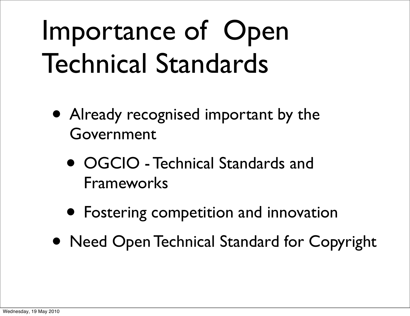### Importance of Open Technical Standards

- Already recognised important by the Government
	- OGCIO Technical Standards and Frameworks
	- Fostering competition and innovation
- Need Open Technical Standard for Copyright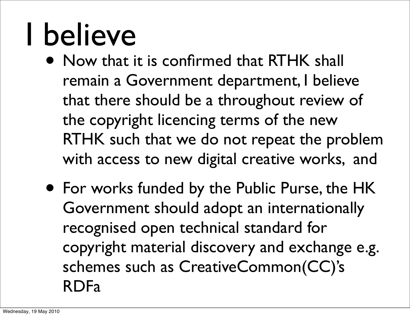### I believe

- Now that it is confirmed that RTHK shall remain a Government department, I believe that there should be a throughout review of the copyright licencing terms of the new RTHK such that we do not repeat the problem with access to new digital creative works, and
- For works funded by the Public Purse, the HK Government should adopt an internationally recognised open technical standard for copyright material discovery and exchange e.g. schemes such as CreativeCommon(CC)'s RDFa